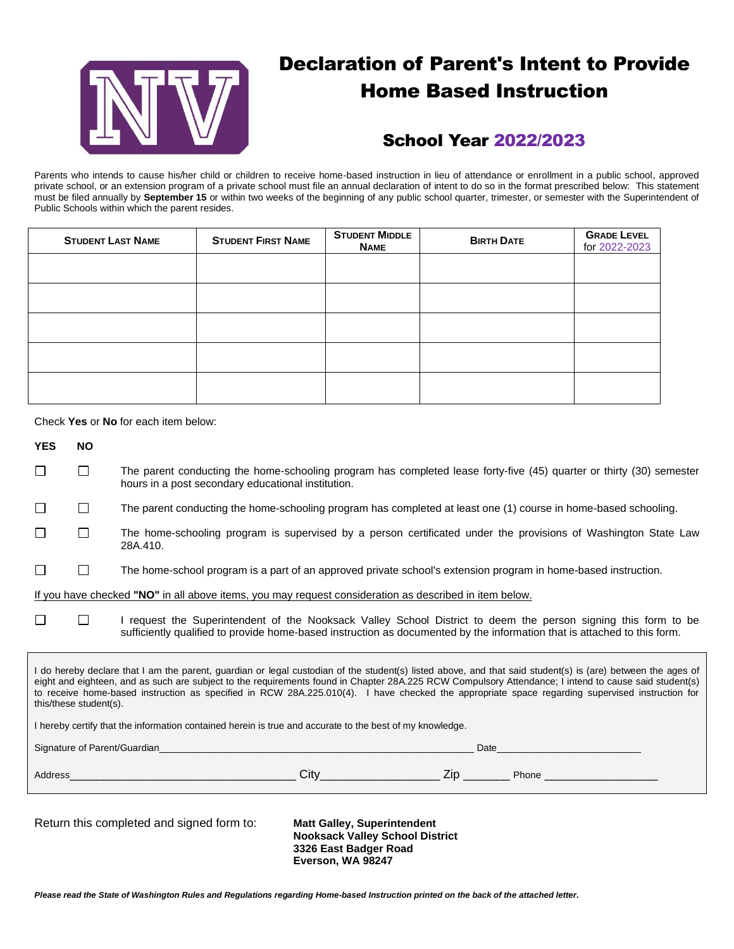

# Declaration of Parent's Intent to Provide Home Based Instruction

## School Year 2022/2023

Parents who intends to cause his/her child or children to receive home-based instruction in lieu of attendance or enrollment in a public school, approved private school, or an extension program of a private school must file an annual declaration of intent to do so in the format prescribed below: This statement must be filed annually by **September 15** or within two weeks of the beginning of any public school quarter, trimester, or semester with the Superintendent of Public Schools within which the parent resides.

| <b>STUDENT LAST NAME</b> | <b>STUDENT FIRST NAME</b> | <b>STUDENT MIDDLE</b><br><b>NAME</b> | <b>BIRTH DATE</b> | <b>GRADE LEVEL</b><br>for 2022-2023 |
|--------------------------|---------------------------|--------------------------------------|-------------------|-------------------------------------|
|                          |                           |                                      |                   |                                     |
|                          |                           |                                      |                   |                                     |
|                          |                           |                                      |                   |                                     |
|                          |                           |                                      |                   |                                     |
|                          |                           |                                      |                   |                                     |

Check **Yes** or **No** for each item below:

| <b>YES</b>                                                                                                                                                                                                                                                                                                                                                                                                                                                                                                                                                                                                    | <b>NO</b>                                                                                                                                                                                                                                             |                                                                                                                                                                                                                                        |  |  |  |  |
|---------------------------------------------------------------------------------------------------------------------------------------------------------------------------------------------------------------------------------------------------------------------------------------------------------------------------------------------------------------------------------------------------------------------------------------------------------------------------------------------------------------------------------------------------------------------------------------------------------------|-------------------------------------------------------------------------------------------------------------------------------------------------------------------------------------------------------------------------------------------------------|----------------------------------------------------------------------------------------------------------------------------------------------------------------------------------------------------------------------------------------|--|--|--|--|
| П                                                                                                                                                                                                                                                                                                                                                                                                                                                                                                                                                                                                             | $\Box$                                                                                                                                                                                                                                                | The parent conducting the home-schooling program has completed lease forty-five (45) quarter or thirty (30) semester<br>hours in a post secondary educational institution.                                                             |  |  |  |  |
| П                                                                                                                                                                                                                                                                                                                                                                                                                                                                                                                                                                                                             | $\Box$                                                                                                                                                                                                                                                | The parent conducting the home-schooling program has completed at least one (1) course in home-based schooling.                                                                                                                        |  |  |  |  |
| П                                                                                                                                                                                                                                                                                                                                                                                                                                                                                                                                                                                                             | $\Box$                                                                                                                                                                                                                                                | The home-schooling program is supervised by a person certificated under the provisions of Washington State Law<br>28A.410.                                                                                                             |  |  |  |  |
| П                                                                                                                                                                                                                                                                                                                                                                                                                                                                                                                                                                                                             | П                                                                                                                                                                                                                                                     | The home-school program is a part of an approved private school's extension program in home-based instruction.                                                                                                                         |  |  |  |  |
| If you have checked "NO" in all above items, you may request consideration as described in item below.                                                                                                                                                                                                                                                                                                                                                                                                                                                                                                        |                                                                                                                                                                                                                                                       |                                                                                                                                                                                                                                        |  |  |  |  |
| П                                                                                                                                                                                                                                                                                                                                                                                                                                                                                                                                                                                                             | I request the Superintendent of the Nooksack Valley School District to deem the person signing this form to be<br>$\perp$<br>sufficiently qualified to provide home-based instruction as documented by the information that is attached to this form. |                                                                                                                                                                                                                                        |  |  |  |  |
| I do hereby declare that I am the parent, guardian or legal custodian of the student(s) listed above, and that said student(s) is (are) between the ages of<br>eight and eighteen, and as such are subject to the requirements found in Chapter 28A.225 RCW Compulsory Attendance; I intend to cause said student(s)<br>to receive home-based instruction as specified in RCW 28A.225.010(4). I have checked the appropriate space regarding supervised instruction for<br>this/these student(s).<br>I hereby certify that the information contained herein is true and accurate to the best of my knowledge. |                                                                                                                                                                                                                                                       |                                                                                                                                                                                                                                        |  |  |  |  |
|                                                                                                                                                                                                                                                                                                                                                                                                                                                                                                                                                                                                               |                                                                                                                                                                                                                                                       | Signature of Parent/Guardian entry and the contract of the contract of the contract of the contract of the contract of the contract of the contract of the contract of the contract of the contract of the contract of the con<br>Date |  |  |  |  |
|                                                                                                                                                                                                                                                                                                                                                                                                                                                                                                                                                                                                               |                                                                                                                                                                                                                                                       |                                                                                                                                                                                                                                        |  |  |  |  |
|                                                                                                                                                                                                                                                                                                                                                                                                                                                                                                                                                                                                               |                                                                                                                                                                                                                                                       | Return this completed and signed form to:<br><b>Matt Galley, Superintendent</b><br><b>Nooksack Valley School District</b>                                                                                                              |  |  |  |  |

**3326 East Badger Road Everson, WA 98247**

*Please read the State of Washington Rules and Regulations regarding Home-based Instruction printed on the back of the attached letter.*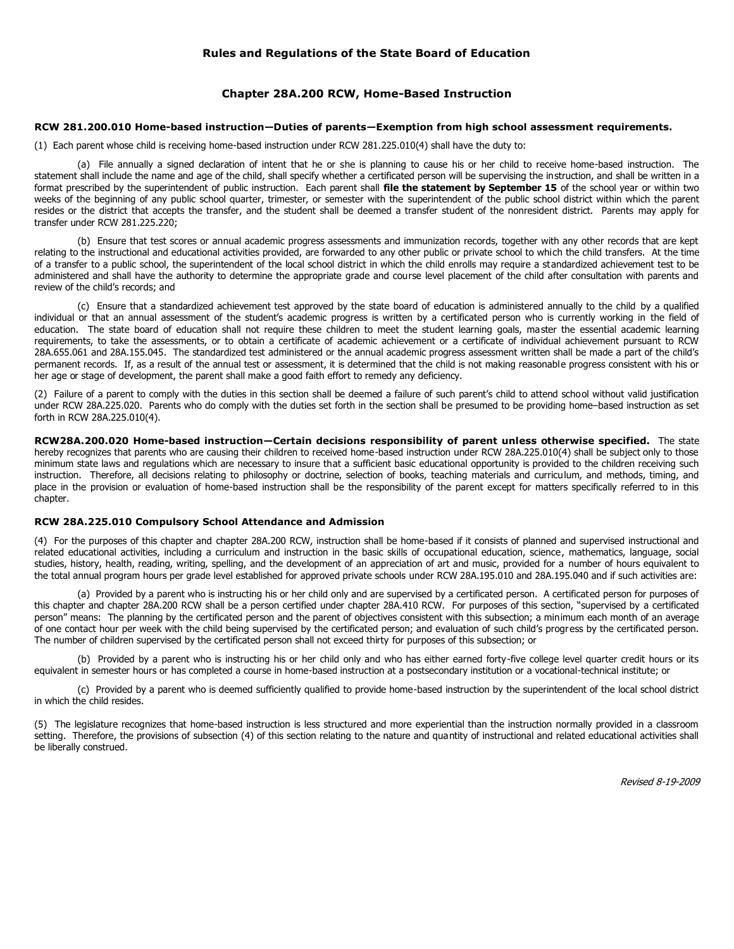#### **Rules and Regulations of the State Board of Education**

#### **Chapter 28A.200 RCW, Home-Based Instruction**

#### **RCW 281.200.010 Home-based instruction—Duties of parents—Exemption from high school assessment requirements.**

(1) Each parent whose child is receiving home-based instruction under RCW 281.225.010(4) shall have the duty to:

(a) File annually a signed declaration of intent that he or she is planning to cause his or her child to receive home-based instruction. The statement shall include the name and age of the child, shall specify whether a certificated person will be supervising the instruction, and shall be written in a format prescribed by the superintendent of public instruction. Each parent shall **file the statement by September 15** of the school year or within two weeks of the beginning of any public school quarter, trimester, or semester with the superintendent of the public school district within which the parent resides or the district that accepts the transfer, and the student shall be deemed a transfer student of the nonresident district. Parents may apply for transfer under RCW 281.225.220;

(b) Ensure that test scores or annual academic progress assessments and immunization records, together with any other records that are kept relating to the instructional and educational activities provided, are forwarded to any other public or private school to which the child transfers. At the time of a transfer to a public school, the superintendent of the local school district in which the child enrolls may require a standardized achievement test to be administered and shall have the authority to determine the appropriate grade and course level placement of the child after consultation with parents and review of the child's records; and

(c) Ensure that a standardized achievement test approved by the state board of education is administered annually to the child by a qualified individual or that an annual assessment of the student's academic progress is written by a certificated person who is currently working in the field of education. The state board of education shall not require these children to meet the student learning goals, master the essential academic learning requirements, to take the assessments, or to obtain a certificate of academic achievement or a certificate of individual achievement pursuant to RCW 28A.655.061 and 28A.155.045. The standardized test administered or the annual academic progress assessment written shall be made a part of the child's permanent records. If, as a result of the annual test or assessment, it is determined that the child is not making reasonable progress consistent with his or her age or stage of development, the parent shall make a good faith effort to remedy any deficiency.

(2) Failure of a parent to comply with the duties in this section shall be deemed a failure of such parent's child to attend school without valid justification under RCW 28A.225.020. Parents who do comply with the duties set forth in the section shall be presumed to be providing home–based instruction as set forth in RCW 28A.225.010(4).

**RCW28A.200.020 Home-based instruction—Certain decisions responsibility of parent unless otherwise specified.** The state hereby recognizes that parents who are causing their children to received home-based instruction under RCW 28A.225.010(4) shall be subject only to those minimum state laws and regulations which are necessary to insure that a sufficient basic educational opportunity is provided to the children receiving such instruction. Therefore, all decisions relating to philosophy or doctrine, selection of books, teaching materials and curriculum, and methods, timing, and place in the provision or evaluation of home-based instruction shall be the responsibility of the parent except for matters specifically referred to in this chapter.

#### **RCW 28A.225.010 Compulsory School Attendance and Admission**

(4) For the purposes of this chapter and chapter 28A.200 RCW, instruction shall be home-based if it consists of planned and supervised instructional and related educational activities, including a curriculum and instruction in the basic skills of occupational education, science, mathematics, language, social studies, history, health, reading, writing, spelling, and the development of an appreciation of art and music, provided for a number of hours equivalent to the total annual program hours per grade level established for approved private schools under RCW 28A.195.010 and 28A.195.040 and if such activities are:

(a) Provided by a parent who is instructing his or her child only and are supervised by a certificated person. A certificated person for purposes of this chapter and chapter 28A.200 RCW shall be a person certified under chapter 28A.410 RCW. For purposes of this section, "supervised by a certificated person" means: The planning by the certificated person and the parent of objectives consistent with this subsection; a minimum each month of an average of one contact hour per week with the child being supervised by the certificated person; and evaluation of such child's progress by the certificated person. The number of children supervised by the certificated person shall not exceed thirty for purposes of this subsection; or

(b) Provided by a parent who is instructing his or her child only and who has either earned forty-five college level quarter credit hours or its equivalent in semester hours or has completed a course in home-based instruction at a postsecondary institution or a vocational-technical institute; or

(c) Provided by a parent who is deemed sufficiently qualified to provide home-based instruction by the superintendent of the local school district in which the child resides.

(5) The legislature recognizes that home-based instruction is less structured and more experiential than the instruction normally provided in a classroom setting. Therefore, the provisions of subsection (4) of this section relating to the nature and quantity of instructional and related educational activities shall be liberally construed.

Revised 8-19-2009